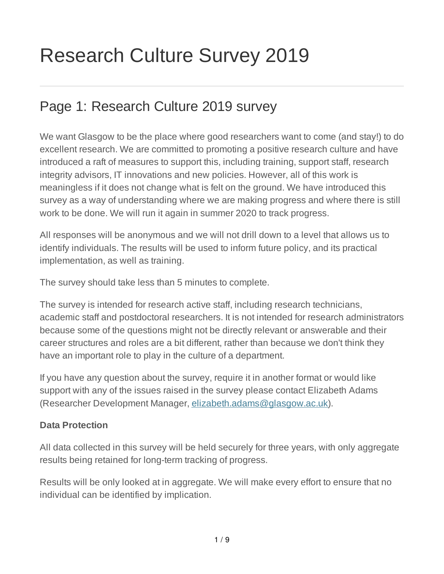# Research Culture Survey 2019

### Page 1: Research Culture 2019 survey

We want Glasgow to be the place where good researchers want to come (and stay!) to do excellent research. We are committed to promoting a positive research culture and have introduced a raft of measures to support this, including training, support staff, research integrity advisors, IT innovations and new policies. However, all of this work is meaningless if it does not change what is felt on the ground. We have introduced this survey as a way of understanding where we are making progress and where there is still work to be done. We will run it again in summer 2020 to track progress.

All responses will be anonymous and we will not drill down to a level that allows us to identify individuals. The results will be used to inform future policy, and its practical implementation, as well as training.

The survey should take less than 5 minutes to complete.

The survey is intended for research active staff, including research technicians, academic staff and postdoctoral researchers. It is not intended for research administrators because some of the questions might not be directly relevant or answerable and their career structures and roles are a bit different, rather than because we don't think they have an important role to play in the culture of a department.

If you have any question about the survey, require it in another format or would like support with any of the issues raised in the survey please contact Elizabeth Adams (Researcher Development Manager, elizabeth.adams@glasgow.ac.uk).

#### **Data Protection**

All data collected in this survey will be held securely for three years, with only aggregate results being retained for long-term tracking of progress.

Results will be only looked at in aggregate. We will make every effort to ensure that no individual can be identified by implication.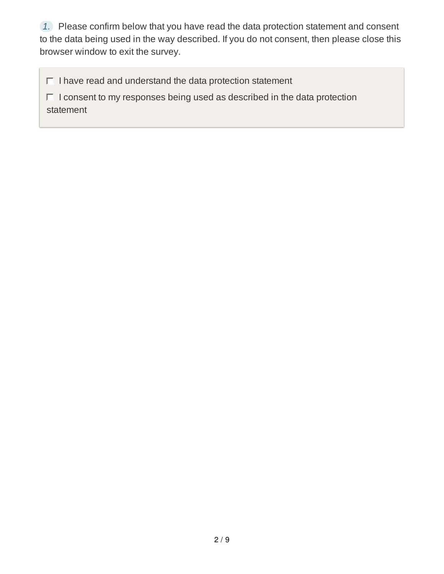*1.* Please confirm below that you have read the data protection statement and consent to the data being used in the way described. If you do not consent, then please close this browser window to exit the survey.

 $\Box$  I have read and understand the data protection statement

 $\Box$  I consent to my responses being used as described in the data protection statement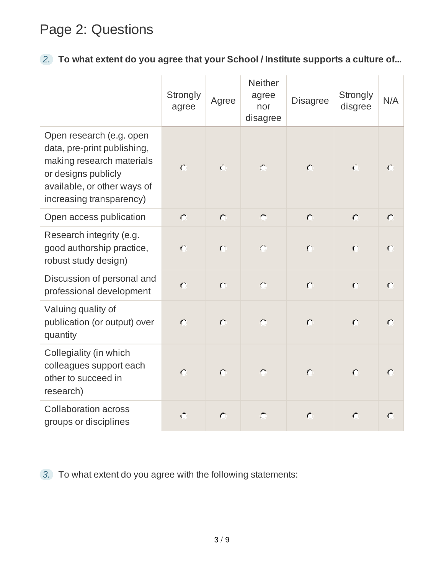# Page 2: Questions

### *2.* **To what extent do you agree that your School / Institute supports a culture of...**

|                                                                                                                                                                        | Strongly<br>agree | Agree     | <b>Neither</b><br>agree<br>nor<br>disagree | <b>Disagree</b> | Strongly<br>disgree | N/A       |
|------------------------------------------------------------------------------------------------------------------------------------------------------------------------|-------------------|-----------|--------------------------------------------|-----------------|---------------------|-----------|
| Open research (e.g. open<br>data, pre-print publishing,<br>making research materials<br>or designs publicly<br>available, or other ways of<br>increasing transparency) | $\bigcap$         | $\circ$   | $\circ$                                    | $\bigcap$       | $\bigcirc$          | $\subset$ |
| Open access publication                                                                                                                                                | $\bigcirc$        | $\bullet$ | $\bullet$                                  | $\circ$         | $\circ$             | $\subset$ |
| Research integrity (e.g.<br>good authorship practice,<br>robust study design)                                                                                          | $\subset$         | $\subset$ | $\subset$                                  | $\subset$       | $\subset$           | ◯         |
| Discussion of personal and<br>professional development                                                                                                                 | $\circ$           | $\circ$   | $\bigcirc$                                 | $\circ$         | $\circ$             | $\bigcap$ |
| Valuing quality of<br>publication (or output) over<br>quantity                                                                                                         | $\circ$           | $\circ$   | $\circ$                                    | $\circ$         | $\bigcirc$          | $\subset$ |
| Collegiality (in which<br>colleagues support each<br>other to succeed in<br>research)                                                                                  | $\bigcirc$        | $\circ$   | $\circ$                                    | $\circ$         | $\bigcap$           | $\bigcap$ |
| <b>Collaboration across</b><br>groups or disciplines                                                                                                                   | $\circ$           | $\circ$   | $\circ$                                    | $\subset$       | $\bigcap$           | $\subset$ |

*3.* To what extent do you agree with the following statements: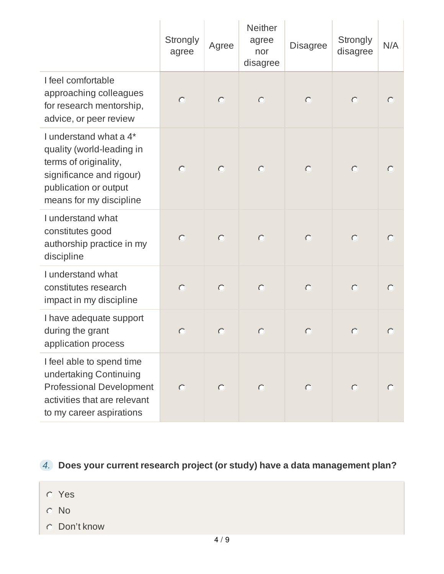|                                                                                                                                                              | <b>Strongly</b><br>agree | Agree               | <b>Neither</b><br>agree<br>nor<br>disagree | <b>Disagree</b> | <b>Strongly</b><br>disagree | N/A       |
|--------------------------------------------------------------------------------------------------------------------------------------------------------------|--------------------------|---------------------|--------------------------------------------|-----------------|-----------------------------|-----------|
| I feel comfortable<br>approaching colleagues<br>for research mentorship,<br>advice, or peer review                                                           | $\circ$                  | $\circlearrowright$ | $\bigcirc$                                 | $\bigcirc$      | $\circ$                     | $\subset$ |
| I understand what a 4*<br>quality (world-leading in<br>terms of originality,<br>significance and rigour)<br>publication or output<br>means for my discipline | $\bigcap$                | $\circlearrowright$ | $\circ$                                    | $\circ$         | $\circ$                     |           |
| I understand what<br>constitutes good<br>authorship practice in my<br>discipline                                                                             | $\bigcap$                | $\bigcirc$          | $\bigcirc$                                 | $\bigcirc$      | $\bigcirc$                  | $\subset$ |
| I understand what<br>constitutes research<br>impact in my discipline                                                                                         | $\subset$                | $\circlearrowright$ | $\bigcap$                                  | $\subset$       | $\subset$                   | $\subset$ |
| I have adequate support<br>during the grant<br>application process                                                                                           |                          | $\subset$           | $\subset$                                  | $\subset$       | $\subset$                   | $\Gamma$  |
| I feel able to spend time<br>undertaking Continuing<br>Professional Development<br>activities that are relevant<br>to my career aspirations                  |                          | $\bigcap$           | $\bigcap$                                  |                 | $\subset$                   |           |

*4.* **Does your current research project (or study) have a data management plan?**

- Yes
- No
- Don't know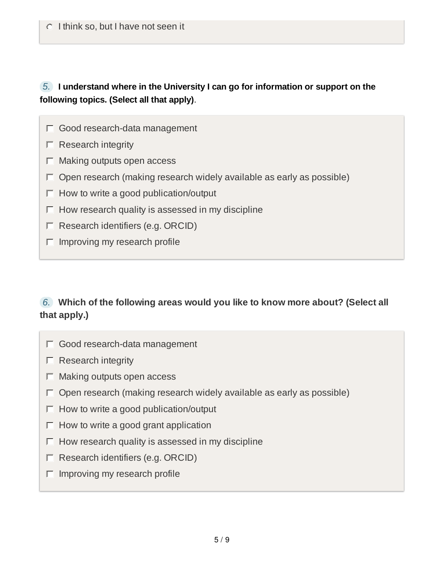#### *5.* **I understand where in the University I can go for information or support on the following topics. (Select all that apply)**.

- Good research-data management
- $\Box$  Research integrity
- $\Box$  Making outputs open access
- $\Box$  Open research (making research widely available as early as possible)
- $\Box$  How to write a good publication/output
- $\Box$  How research quality is assessed in my discipline
- $\Box$  Research identifiers (e.g. ORCID)
- $\Box$  Improving my research profile

#### *6.* **Which of the following areas would you like to know more about? (Select all that apply.)**

- Good research-data management
- $\Box$  Research integrity
- $\Box$  Making outputs open access
- $\Box$  Open research (making research widely available as early as possible)
- $\Box$  How to write a good publication/output
- $\Box$  How to write a good grant application
- $\Box$  How research quality is assessed in my discipline
- $\Box$  Research identifiers (e.g. ORCID)
- $\Box$  Improving my research profile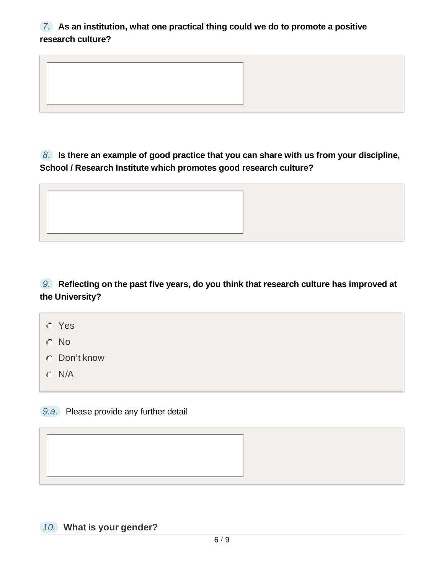#### *7.* **As an institution, what one practical thing could we do to promote a positive research culture?**

*8.* **Is there an example of good practice that you can share with us from your discipline, School / Research Institute which promotes good research culture?**

*9.* **Reflecting on the past five years, do you think that research culture has improved at the University?**

Yes

No

Don't know

 $O$  N/A

*9.a.* Please provide any further detail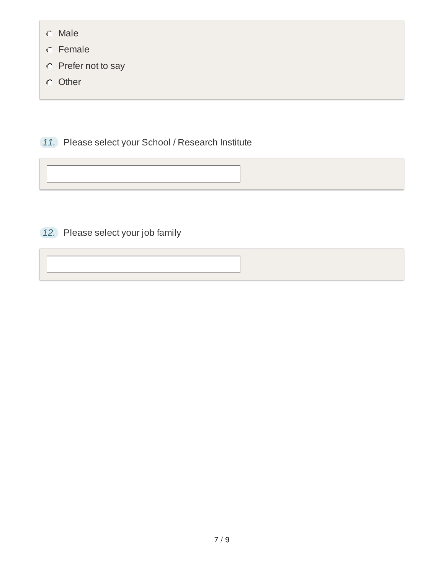- Male
- Female
- Prefer not to say
- **O** Other

*11.* Please select your School / Research Institute

*12.* Please select your job family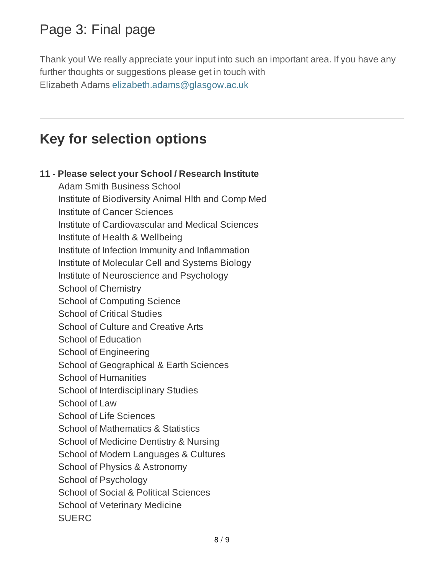# Page 3: Final page

Thank you! We really appreciate your input into such an important area. If you have any further thoughts or suggestions please get in touch with Elizabeth Adams elizabeth.adams@glasgow.ac.uk

### **Key for selection options**

#### **11 - Please select your School / Research Institute**

Adam Smith Business School Institute of Biodiversity Animal Hlth and Comp Med Institute of Cancer Sciences Institute of Cardiovascular and Medical Sciences Institute of Health & Wellbeing Institute of Infection Immunity and Inflammation Institute of Molecular Cell and Systems Biology Institute of Neuroscience and Psychology School of Chemistry School of Computing Science School of Critical Studies School of Culture and Creative Arts School of Education School of Engineering School of Geographical & Earth Sciences School of Humanities School of Interdisciplinary Studies School of Law School of Life Sciences School of Mathematics & Statistics School of Medicine Dentistry & Nursing School of Modern Languages & Cultures School of Physics & Astronomy School of Psychology School of Social & Political Sciences School of Veterinary Medicine SUERC